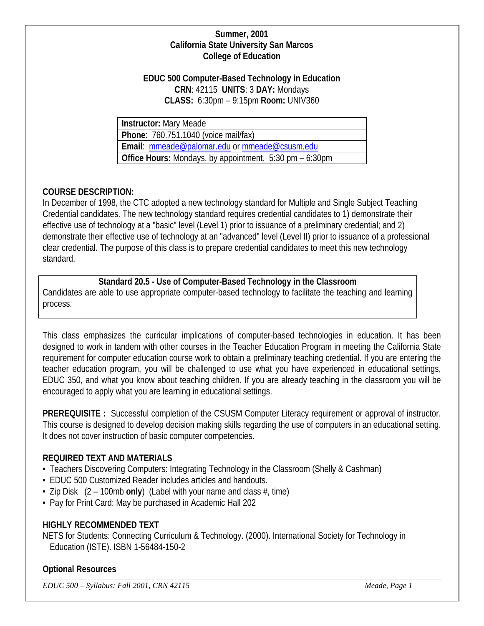## **Summer, 2001 California State University San Marcos College of Education**

## **EDUC 500 Computer-Based Technology in Education CRN**: 42115 **UNITS**: 3 **DAY:** Mondays **CLASS:** 6:30pm – 9:15pm **Room:** UNIV360

| Instructor: Mary Meade                                      |
|-------------------------------------------------------------|
| Phone: 760.751.1040 (voice mail/fax)                        |
| Email: mmeade@palomar.edu or mmeade@csusm.edu               |
| Office Hours: Mondays, by appointment, $5:30$ pm $-6:30$ pm |

# **COURSE DESCRIPTION:**

In December of 1998, the CTC adopted a new technology standard for Multiple and Single Subject Teaching Credential candidates. The new technology standard requires credential candidates to 1) demonstrate their effective use of technology at a "basic" level (Level 1) prior to issuance of a preliminary credential; and 2) demonstrate their effective use of technology at an "advanced" level (Level II) prior to issuance of a professional clear credential. The purpose of this class is to prepare credential candidates to meet this new technology standard.

**Standard 20.5 - Use of Computer-Based Technology in the Classroom** Candidates are able to use appropriate computer-based technology to facilitate the teaching and learning process.

This class emphasizes the curricular implications of computer-based technologies in education. It has been designed to work in tandem with other courses in the Teacher Education Program in meeting the California State requirement for computer education course work to obtain a preliminary teaching credential. If you are entering the teacher education program, you will be challenged to use what you have experienced in educational settings, EDUC 350, and what you know about teaching children. If you are already teaching in the classroom you will be encouraged to apply what you are learning in educational settings.

**PREREQUISITE :** Successful completion of the CSUSM Computer Literacy requirement or approval of instructor. This course is designed to develop decision making skills regarding the use of computers in an educational setting. It does not cover instruction of basic computer competencies.

# **REQUIRED TEXT AND MATERIALS**

- Teachers Discovering Computers: Integrating Technology in the Classroom (Shelly & Cashman)
- EDUC 500 Customized Reader includes articles and handouts.
- Zip Disk (2 100mb **only**) (Label with your name and class #, time)
- Pay for Print Card: May be purchased in Academic Hall 202

# **HIGHLY RECOMMENDED TEXT**

NETS for Students: Connecting Curriculum & Technology. (2000). International Society for Technology in Education (ISTE). ISBN 1-56484-150-2

## **Optional Resources**

*EDUC 500 – Syllabus: Fall 2001, CRN 42115 Meade, Page 1*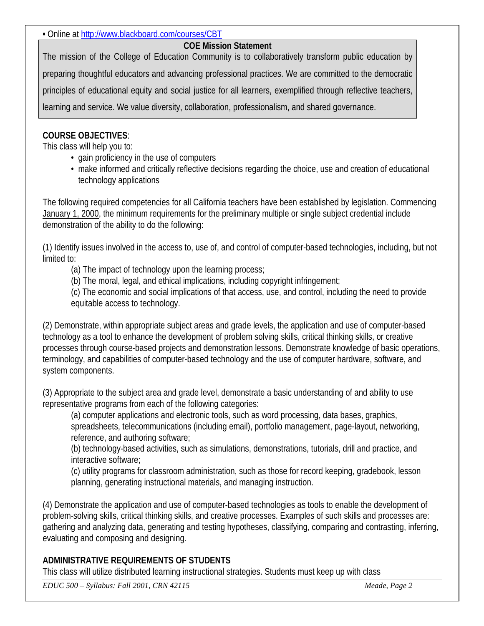**•** Online at<http://www.blackboard.com/courses/CBT>

## **COE Mission Statement**

The mission of the College of Education Community is to collaboratively transform public education by preparing thoughtful educators and advancing professional practices. We are committed to the democratic principles of educational equity and social justice for all learners, exemplified through reflective teachers, learning and service. We value diversity, collaboration, professionalism, and shared governance.

# **COURSE OBJECTIVES**:

This class will help you to:

- gain proficiency in the use of computers
- make informed and critically reflective decisions regarding the choice, use and creation of educational technology applications

The following required competencies for all California teachers have been established by legislation. Commencing January 1, 2000, the minimum requirements for the preliminary multiple or single subject credential include demonstration of the ability to do the following:

(1) Identify issues involved in the access to, use of, and control of computer-based technologies, including, but not limited to:

(a) The impact of technology upon the learning process;

(b) The moral, legal, and ethical implications, including copyright infringement;

(c) The economic and social implications of that access, use, and control, including the need to provide equitable access to technology.

(2) Demonstrate, within appropriate subject areas and grade levels, the application and use of computer-based technology as a tool to enhance the development of problem solving skills, critical thinking skills, or creative processes through course-based projects and demonstration lessons. Demonstrate knowledge of basic operations, terminology, and capabilities of computer-based technology and the use of computer hardware, software, and system components.

(3) Appropriate to the subject area and grade level, demonstrate a basic understanding of and ability to use representative programs from each of the following categories:

(a) computer applications and electronic tools, such as word processing, data bases, graphics, spreadsheets, telecommunications (including email), portfolio management, page-layout, networking, reference, and authoring software;

(b) technology-based activities, such as simulations, demonstrations, tutorials, drill and practice, and interactive software;

(c) utility programs for classroom administration, such as those for record keeping, gradebook, lesson planning, generating instructional materials, and managing instruction.

(4) Demonstrate the application and use of computer-based technologies as tools to enable the development of problem-solving skills, critical thinking skills, and creative processes. Examples of such skills and processes are: gathering and analyzing data, generating and testing hypotheses, classifying, comparing and contrasting, inferring, evaluating and composing and designing.

# **ADMINISTRATIVE REQUIREMENTS OF STUDENTS**

This class will utilize distributed learning instructional strategies. Students must keep up with class

*EDUC 500 – Syllabus: Fall 2001, CRN 42115 Meade, Page 2*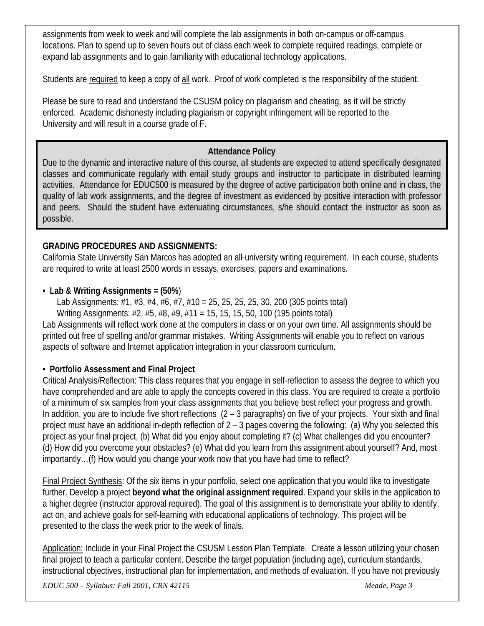assignments from week to week and will complete the lab assignments in both on-campus or off-campus locations. Plan to spend up to seven hours out of class each week to complete required readings, complete or expand lab assignments and to gain familiarity with educational technology applications.

Students are required to keep a copy of all work. Proof of work completed is the responsibility of the student.

Please be sure to read and understand the CSUSM policy on plagiarism and cheating, as it will be strictly enforced. Academic dishonesty including plagiarism or copyright infringement will be reported to the University and will result in a course grade of F.

# **Attendance Policy**

Due to the dynamic and interactive nature of this course, all students are expected to attend specifically designated classes and communicate regularly with email study groups and instructor to participate in distributed learning activities. Attendance for EDUC500 is measured by the degree of active participation both online and in class, the quality of lab work assignments, and the degree of investment as evidenced by positive interaction with professor and peers. Should the student have extenuating circumstances, s/he should contact the instructor as soon as possible.

# **GRADING PROCEDURES AND ASSIGNMENTS:**

California State University San Marcos has adopted an all-university writing requirement. In each course, students are required to write at least 2500 words in essays, exercises, papers and examinations.

# • **Lab & Writing Assignments = (50%**)

Lab Assignments: #1, #3, #4, #6, #7, #10 = 25, 25, 25, 25, 30, 200 (305 points total) Writing Assignments: #2, #5, #8, #9, #11 = 15, 15, 15, 50, 100 (195 points total)

Lab Assignments will reflect work done at the computers in class or on your own time. All assignments should be printed out free of spelling and/or grammar mistakes. Writing Assignments will enable you to reflect on various aspects of software and Internet application integration in your classroom curriculum.

# • **Portfolio Assessment and Final Project**

Critical Analysis/Reflection: This class requires that you engage in self-reflection to assess the degree to which you have comprehended and are able to apply the concepts covered in this class. You are required to create a portfolio of a minimum of six samples from your class assignments that you believe best reflect your progress and growth. In addition, you are to include five short reflections (2 – 3 paragraphs) on five of your projects. Your sixth and final project must have an additional in-depth reflection of 2 – 3 pages covering the following: (a) Why you selected this project as your final project, (b) What did you enjoy about completing it? (c) What challenges did you encounter? (d) How did you overcome your obstacles? (e) What did you learn from this assignment about yourself? And, most importantly…(f) How would you change your work now that you have had time to reflect?

Final Project Synthesis: Of the six items in your portfolio, select one application that you would like to investigate further. Develop a project **beyond what the original assignment required**. Expand your skills in the application to a higher degree (instructor approval required). The goal of this assignment is to demonstrate your ability to identify, act on, and achieve goals for self-learning with educational applications of technology. This project will be presented to the class the week prior to the week of finals.

Application: Include in your Final Project the CSUSM Lesson Plan Template. Create a lesson utilizing your chosen final project to teach a particular content. Describe the target population (including age), curriculum standards, instructional objectives, instructional plan for implementation, and methods of evaluation. If you have not previously

*EDUC 500 – Syllabus: Fall 2001, CRN 42115 Meade, Page 3*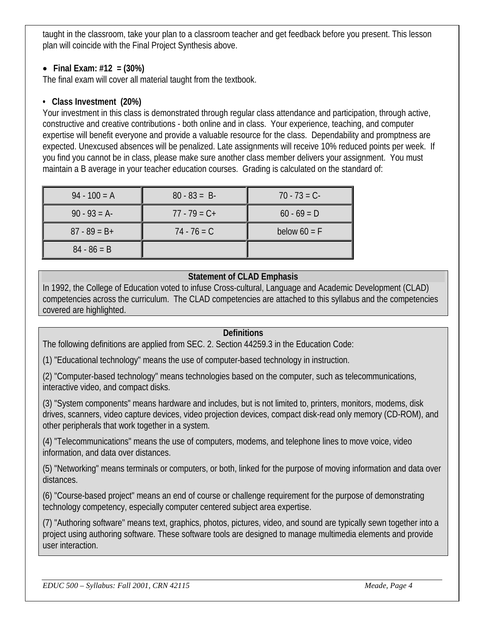taught in the classroom, take your plan to a classroom teacher and get feedback before you present. This lesson plan will coincide with the Final Project Synthesis above.

# • **Final Exam: #12 = (30%)**

The final exam will cover all material taught from the textbook.

## **• Class Investment (20%)**

Your investment in this class is demonstrated through regular class attendance and participation, through active, constructive and creative contributions - both online and in class. Your experience, teaching, and computer expertise will benefit everyone and provide a valuable resource for the class. Dependability and promptness are expected. Unexcused absences will be penalized. Late assignments will receive 10% reduced points per week. If you find you cannot be in class, please make sure another class member delivers your assignment. You must maintain a B average in your teacher education courses. Grading is calculated on the standard of:

| $94 - 100 = A$  | $80 - 83 = B$   | $70 - 73 = C$  |  |
|-----------------|-----------------|----------------|--|
| $90 - 93 = A$   | $77 - 79 = C +$ | $60 - 69 = D$  |  |
| $87 - 89 = B +$ | $74 - 76 = C$   | below $60 = F$ |  |
| $84 - 86 = B$   |                 |                |  |

# **Statement of CLAD Emphasis**

In 1992, the College of Education voted to infuse Cross-cultural, Language and Academic Development (CLAD) competencies across the curriculum. The CLAD competencies are attached to this syllabus and the competencies covered are highlighted.

## **Definitions**

The following definitions are applied from SEC. 2. Section 44259.3 in the Education Code:

(1) "Educational technology" means the use of computer-based technology in instruction.

(2) "Computer-based technology" means technologies based on the computer, such as telecommunications, interactive video, and compact disks.

(3) "System components" means hardware and includes, but is not limited to, printers, monitors, modems, disk drives, scanners, video capture devices, video projection devices, compact disk-read only memory (CD-ROM), and other peripherals that work together in a system.

(4) "Telecommunications" means the use of computers, modems, and telephone lines to move voice, video information, and data over distances.

(5) "Networking" means terminals or computers, or both, linked for the purpose of moving information and data over distances.

(6) "Course-based project" means an end of course or challenge requirement for the purpose of demonstrating technology competency, especially computer centered subject area expertise.

(7) "Authoring software" means text, graphics, photos, pictures, video, and sound are typically sewn together into a project using authoring software. These software tools are designed to manage multimedia elements and provide user interaction.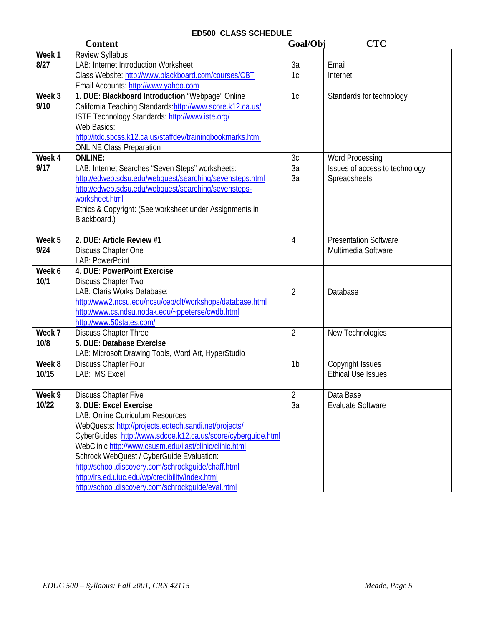## **ED500 CLASS SCHEDULE**

|        | <b>Content</b>                                                | Goal/Obj       | <b>CTC</b>                     |  |
|--------|---------------------------------------------------------------|----------------|--------------------------------|--|
| Week 1 | <b>Review Syllabus</b>                                        |                |                                |  |
| 8/27   | <b>LAB: Internet Introduction Worksheet</b>                   | 3a             | Email                          |  |
|        | Class Website: http://www.blackboard.com/courses/CBT          | 1c             | Internet                       |  |
|        | Email Accounts: http://www.yahoo.com                          |                |                                |  |
| Week 3 | 1. DUE: Blackboard Introduction "Webpage" Online              | 1c             | Standards for technology       |  |
| 9/10   | California Teaching Standards: http://www.score.k12.ca.us/    |                |                                |  |
|        | ISTE Technology Standards: http://www.iste.org/               |                |                                |  |
|        | Web Basics:                                                   |                |                                |  |
|        | http://itdc.sbcss.k12.ca.us/staffdev/trainingbookmarks.html   |                |                                |  |
|        | <b>ONLINE Class Preparation</b>                               |                |                                |  |
| Week 4 | <b>ONLINE:</b>                                                | 3c             | <b>Word Processing</b>         |  |
| 9/17   | LAB: Internet Searches "Seven Steps" worksheets:              | 3a             | Issues of access to technology |  |
|        | http://edweb.sdsu.edu/webquest/searching/sevensteps.html      | 3a             | Spreadsheets                   |  |
|        | http://edweb.sdsu.edu/webquest/searching/sevensteps-          |                |                                |  |
|        | worksheet.html                                                |                |                                |  |
|        | Ethics & Copyright: (See worksheet under Assignments in       |                |                                |  |
|        | Blackboard.)                                                  |                |                                |  |
| Week 5 | 2. DUE: Article Review #1                                     |                | <b>Presentation Software</b>   |  |
| 9/24   |                                                               | $\overline{4}$ | Multimedia Software            |  |
|        | Discuss Chapter One<br>LAB: PowerPoint                        |                |                                |  |
| Week 6 | 4. DUE: PowerPoint Exercise                                   |                |                                |  |
| 10/1   | Discuss Chapter Two                                           |                |                                |  |
|        | LAB: Claris Works Database:                                   | 2              | Database                       |  |
|        | http://www2.ncsu.edu/ncsu/cep/clt/workshops/database.html     |                |                                |  |
|        | http://www.cs.ndsu.nodak.edu/~ppeterse/cwdb.html              |                |                                |  |
|        | http://www.50states.com/                                      |                |                                |  |
| Week 7 | <b>Discuss Chapter Three</b>                                  | $\overline{2}$ | New Technologies               |  |
| 10/8   | 5. DUE: Database Exercise                                     |                |                                |  |
|        | LAB: Microsoft Drawing Tools, Word Art, HyperStudio           |                |                                |  |
| Week 8 | <b>Discuss Chapter Four</b>                                   | 1 <sub>b</sub> | Copyright Issues               |  |
| 10/15  | LAB: MS Excel                                                 |                | <b>Ethical Use Issues</b>      |  |
|        |                                                               |                |                                |  |
| Week 9 | <b>Discuss Chapter Five</b>                                   | 2              | Data Base                      |  |
| 10/22  | 3. DUE: Excel Exercise                                        | 3a             | <b>Evaluate Software</b>       |  |
|        | LAB: Online Curriculum Resources                              |                |                                |  |
|        | WebQuests: http://projects.edtech.sandi.net/projects/         |                |                                |  |
|        | CyberGuides: http://www.sdcoe.k12.ca.us/score/cyberquide.html |                |                                |  |
|        | WebClinic http://www.csusm.edu/ilast/clinic/clinic.html       |                |                                |  |
|        | Schrock WebQuest / CyberGuide Evaluation:                     |                |                                |  |
|        | http://school.discovery.com/schrockguide/chaff.html           |                |                                |  |
|        | http://lrs.ed.uiuc.edu/wp/credibility/index.html              |                |                                |  |
|        | http://school.discovery.com/schrockquide/eval.html            |                |                                |  |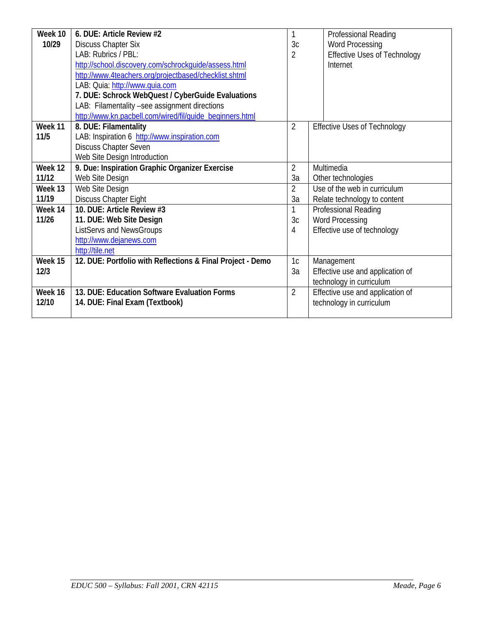| Week 10 | 6. DUE: Article Review #2                                  |                | Professional Reading                |  |  |
|---------|------------------------------------------------------------|----------------|-------------------------------------|--|--|
| 10/29   | <b>Discuss Chapter Six</b>                                 | 3 <sub>c</sub> | <b>Word Processing</b>              |  |  |
|         | LAB: Rubrics / PBL:                                        | $\overline{2}$ | <b>Effective Uses of Technology</b> |  |  |
|         | http://school.discovery.com/schrockquide/assess.html       |                | Internet                            |  |  |
|         | http://www.4teachers.org/projectbased/checklist.shtml      |                |                                     |  |  |
|         | LAB: Quia: http://www.quia.com                             |                |                                     |  |  |
|         | 7. DUE: Schrock WebQuest / CyberGuide Evaluations          |                |                                     |  |  |
|         | LAB: Filamentality -see assignment directions              |                |                                     |  |  |
|         | http://www.kn.pacbell.com/wired/fil/quide_beginners.html   |                |                                     |  |  |
| Week 11 | 8. DUE: Filamentality                                      | $\overline{2}$ | <b>Effective Uses of Technology</b> |  |  |
| 11/5    | LAB: Inspiration 6 http://www.inspiration.com              |                |                                     |  |  |
|         | Discuss Chapter Seven                                      |                |                                     |  |  |
|         | Web Site Design Introduction                               |                |                                     |  |  |
| Week 12 | 9. Due: Inspiration Graphic Organizer Exercise             | $\overline{2}$ | Multimedia                          |  |  |
| 11/12   | Web Site Design                                            | 3a             | Other technologies                  |  |  |
| Week 13 | Web Site Design                                            | $\overline{2}$ | Use of the web in curriculum        |  |  |
| 11/19   | <b>Discuss Chapter Eight</b>                               | 3a             | Relate technology to content        |  |  |
| Week 14 | 10. DUE: Article Review #3                                 |                | Professional Reading                |  |  |
| 11/26   | 11. DUE: Web Site Design                                   | 3c             | <b>Word Processing</b>              |  |  |
|         | ListServs and NewsGroups                                   | 4              | Effective use of technology         |  |  |
|         | http://www.dejanews.com                                    |                |                                     |  |  |
|         | http://tile.net                                            |                |                                     |  |  |
| Week 15 | 12. DUE: Portfolio with Reflections & Final Project - Demo | 1c             | Management                          |  |  |
| 12/3    |                                                            | 3a             | Effective use and application of    |  |  |
|         |                                                            |                | technology in curriculum            |  |  |
| Week 16 | 13. DUE: Education Software Evaluation Forms               | $\overline{2}$ | Effective use and application of    |  |  |
| 12/10   | 14. DUE: Final Exam (Textbook)                             |                | technology in curriculum            |  |  |
|         |                                                            |                |                                     |  |  |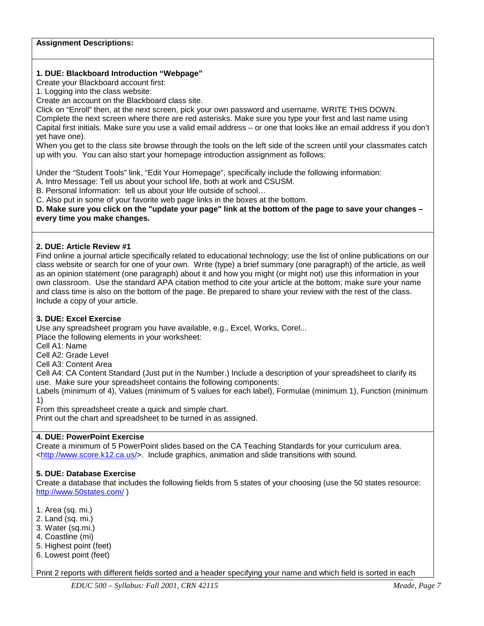#### **Assignment Descriptions:**

#### **1. DUE: Blackboard Introduction "Webpage"**

Create your Blackboard account first:

1. Logging into the class website:

Create an account on the Blackboard class site.

Click on "Enroll" then, at the next screen, pick your own password and username. WRITE THIS DOWN.

Complete the next screen where there are red asterisks. Make sure you type your first and last name using Capital first initials. Make sure you use a valid email address – or one that looks like an email address if you don't yet have one).

When you get to the class site browse through the tools on the left side of the screen until your classmates catch up with you. You can also start your homepage introduction assignment as follows:

Under the "Student Tools" link, "Edit Your Homepage", specifically include the following information:

A. Intro Message: Tell us about your school life, both at work and CSUSM.

B. Personal Information: tell us about your life outside of school…

C. Also put in some of your favorite web page links in the boxes at the bottom.

**D. Make sure you click on the "update your page" link at the bottom of the page to save your changes – every time you make changes.**

#### **2. DUE: Article Review #1**

Find online a journal article specifically related to educational technology; use the list of online publications on our class website or search for one of your own. Write (type) a brief summary (one paragraph) of the article, as well as an opinion statement (one paragraph) about it and how you might (or might not) use this information in your own classroom. Use the standard APA citation method to cite your article at the bottom; make sure your name and class time is also on the bottom of the page. Be prepared to share your review with the rest of the class. Include a copy of your article.

### **3. DUE: Excel Exercise**

Use any spreadsheet program you have available, e.g., Excel, Works, Corel...

Place the following elements in your worksheet:

Cell A1: Name

Cell A2: Grade Level

Cell A3: Content Area

Cell A4: CA Content Standard (Just put in the Number.) Include a description of your spreadsheet to clarify its use. Make sure your spreadsheet contains the following components:

Labels (minimum of 4), Values (minimum of 5 values for each label), Formulae (minimum 1), Function (minimum 1)

From this spreadsheet create a quick and simple chart.

Print out the chart and spreadsheet to be turned in as assigned.

### **4. DUE: PowerPoint Exercise**

Create a minimum of 5 PowerPoint slides based on the CA Teaching Standards for your curriculum area. [<http://www.score.k12.ca.us/>](http://www.score.k12.ca.us/). Include graphics, animation and slide transitions with sound.

### **5. DUE: Database Exercise**

Create a database that includes the following fields from 5 states of your choosing (use the 50 states resource: <http://www.50states.com/> )

1. Area (sq. mi.)

- 2. Land (sq. mi.)
- 3. Water (sq.mi.)
- 4. Coastline (mi)
- 5. Highest point (feet)
- 6. Lowest point (feet)

Print 2 reports with different fields sorted and a header specifying your name and which field is sorted in each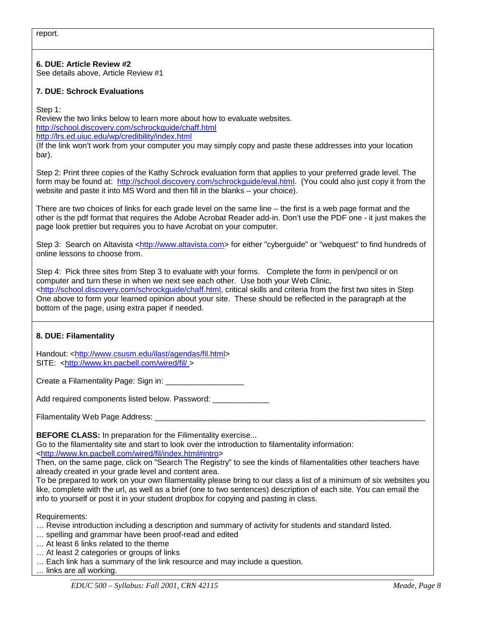report.

**6. DUE: Article Review #2** See details above, Article Review #1

### **7. DUE: Schrock Evaluations**

Step 1:

Review the two links below to learn more about how to evaluate websites. <http://school.discovery.com/schrockguide/chaff.html> <http://lrs.ed.uiuc.edu/wp/credibility/index.html> (If the link won't work from your computer you may simply copy and paste these addresses into your location bar).

Step 2: Print three copies of the Kathy Schrock evaluation form that applies to your preferred grade level. The form may be found at: [http://school.discovery.com/schrockguide/eval.html.](http://school.discovery.com/schrockguide/eval.html) (You could also just copy it from the website and paste it into MS Word and then fill in the blanks – your choice).

There are two choices of links for each grade level on the same line – the first is a web page format and the other is the pdf format that requires the Adobe Acrobat Reader add-in. Don't use the PDF one - it just makes the page look prettier but requires you to have Acrobat on your computer.

Step 3: Search on Altavista [<http://www.altavista.com>](http://www.altavista.com/) for either "cyberguide" or "webquest" to find hundreds of online lessons to choose from.

Step 4: Pick three sites from Step 3 to evaluate with your forms. Complete the form in pen/pencil or on computer and turn these in when we next see each other. Use both your Web Clinic, [<http://school.discovery.com/schrockguide/chaff.html,](http://school.discovery.com/schrockguide/chaff.html) critical skills and criteria from the first two sites in Step One above to form your learned opinion about your site. These should be reflected in the paragraph at the bottom of the page, using extra paper if needed.

### **8. DUE: Filamentality**

Handout: [<http://www.csusm.edu/ilast/agendas/fil.html>](http://www.csusm.edu/ilast/agendas/fil.html) SITE: [<http://www.kn.pacbell.com/wired/fil/ >](http://www.kn.pacbell.com/wired/fil/%3e)

Create a Filamentality Page: Sign in:

Add required components listed below. Password:

Filamentality Web Page Address:

**BEFORE CLASS:** In preparation for the Filimentality exercise...

Go to the filamentality site and start to look over the introduction to filamentality information: [<http://www.kn.pacbell.com/wired/fil/index.html#intro>](http://www.kn.pacbell.com/wired/fil/index.html#intro)

Then, on the same page, click on "Search The Registry" to see the kinds of filamentalities other teachers have already created in your grade level and content area.

To be prepared to work on your own filamentality please bring to our class a list of a minimum of six websites you like, complete with the url, as well as a brief (one to two sentences) description of each site. You can email the info to yourself or post it in your student dropbox for copying and pasting in class.

Requirements:

- … Revise introduction including a description and summary of activity for students and standard listed.
- … spelling and grammar have been proof-read and edited
- … At least 6 links related to the theme
- … At least 2 categories or groups of links
- … Each link has a summary of the link resource and may include a question.

… links are all working.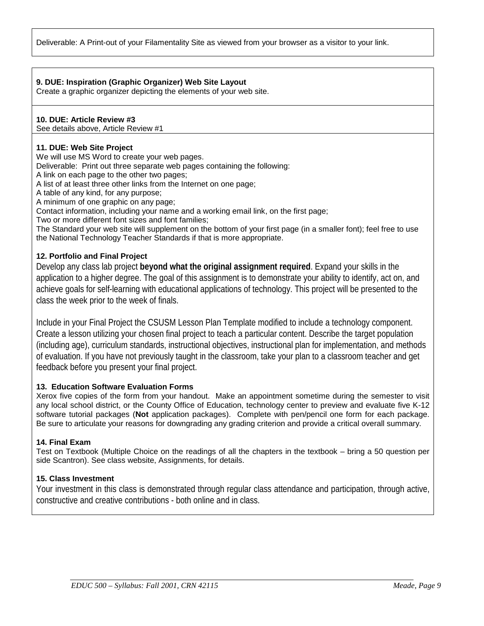Deliverable: A Print-out of your Filamentality Site as viewed from your browser as a visitor to your link.

### **9. DUE: Inspiration (Graphic Organizer) Web Site Layout**

Create a graphic organizer depicting the elements of your web site.

### **10. DUE: Article Review #3**

See details above, Article Review #1

### **11. DUE: Web Site Project**

We will use MS Word to create your web pages.

Deliverable: Print out three separate web pages containing the following:

A link on each page to the other two pages;

A list of at least three other links from the Internet on one page;

A table of any kind, for any purpose;

A minimum of one graphic on any page;

Contact information, including your name and a working email link, on the first page;

Two or more different font sizes and font families;

The Standard your web site will supplement on the bottom of your first page (in a smaller font); feel free to use the National Technology Teacher Standards if that is more appropriate.

### **12. Portfolio and Final Project**

Develop any class lab project **beyond what the original assignment required**. Expand your skills in the application to a higher degree. The goal of this assignment is to demonstrate your ability to identify, act on, and achieve goals for self-learning with educational applications of technology. This project will be presented to the class the week prior to the week of finals.

Include in your Final Project the CSUSM Lesson Plan Template modified to include a technology component. Create a lesson utilizing your chosen final project to teach a particular content. Describe the target population (including age), curriculum standards, instructional objectives, instructional plan for implementation, and methods of evaluation. If you have not previously taught in the classroom, take your plan to a classroom teacher and get feedback before you present your final project.

## **13. Education Software Evaluation Forms**

Xerox five copies of the form from your handout. Make an appointment sometime during the semester to visit any local school district, or the County Office of Education, technology center to preview and evaluate five K-12 software tutorial packages (**Not** application packages). Complete with pen/pencil one form for each package. Be sure to articulate your reasons for downgrading any grading criterion and provide a critical overall summary.

### **14. Final Exam**

Test on Textbook (Multiple Choice on the readings of all the chapters in the textbook – bring a 50 question per side Scantron). See class website, Assignments, for details.

## **15. Class Investment**

Your investment in this class is demonstrated through regular class attendance and participation, through active, constructive and creative contributions - both online and in class.